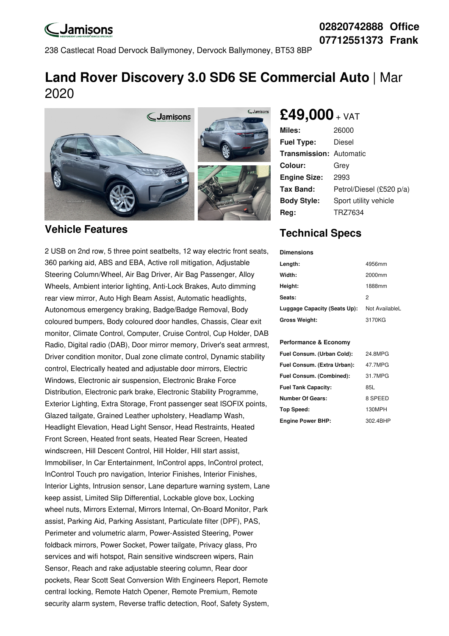# **LJamisons**

## **02820742888 Office 07712551373 Frank**

238 Castlecat Road Dervock Ballymoney, Dervock Ballymoney, BT53 8BP

## **Land Rover Discovery 3.0 SD6 SE Commercial Auto** | Mar 2020



#### **Vehicle Features**

2 USB on 2nd row, 5 three point seatbelts, 12 way electric front seats, 360 parking aid, ABS and EBA, Active roll mitigation, Adjustable Steering Column/Wheel, Air Bag Driver, Air Bag Passenger, Alloy Wheels, Ambient interior lighting, Anti-Lock Brakes, Auto dimming rear view mirror, Auto High Beam Assist, Automatic headlights, Autonomous emergency braking, Badge/Badge Removal, Body coloured bumpers, Body coloured door handles, Chassis, Clear exit monitor, Climate Control, Computer, Cruise Control, Cup Holder, DAB Radio, Digital radio (DAB), Door mirror memory, Driver's seat armrest, Driver condition monitor, Dual zone climate control, Dynamic stability control, Electrically heated and adjustable door mirrors, Electric Windows, Electronic air suspension, Electronic Brake Force Distribution, Electronic park brake, Electronic Stability Programme, Exterior Lighting, Extra Storage, Front passenger seat ISOFIX points, Glazed tailgate, Grained Leather upholstery, Headlamp Wash, Headlight Elevation, Head Light Sensor, Head Restraints, Heated Front Screen, Heated front seats, Heated Rear Screen, Heated windscreen, Hill Descent Control, Hill Holder, Hill start assist, Immobiliser, In Car Entertainment, InControl apps, InControl protect, InControl Touch pro navigation, Interior Finishes, Interior Finishes, Interior Lights, Intrusion sensor, Lane departure warning system, Lane keep assist, Limited Slip Differential, Lockable glove box, Locking wheel nuts, Mirrors External, Mirrors Internal, On-Board Monitor, Park assist, Parking Aid, Parking Assistant, Particulate filter (DPF), PAS, Perimeter and volumetric alarm, Power-Assisted Steering, Power foldback mirrors, Power Socket, Power tailgate, Privacy glass, Pro services and wifi hotspot, Rain sensitive windscreen wipers, Rain Sensor, Reach and rake adjustable steering column, Rear door pockets, Rear Scott Seat Conversion With Engineers Report, Remote central locking, Remote Hatch Opener, Remote Premium, Remote security alarm system, Reverse traffic detection, Roof, Safety System,

## **£49,000** <sup>+</sup> VAT

| <b>Miles:</b>                  | 26000                    |
|--------------------------------|--------------------------|
| <b>Fuel Type:</b>              | Diesel                   |
| <b>Transmission: Automatic</b> |                          |
| Colour:                        | Grev                     |
| <b>Engine Size:</b>            | 2993                     |
| Tax Band:                      | Petrol/Diesel (£520 p/a) |
| <b>Body Style:</b>             | Sport utility vehicle    |
| Reg:                           | TRZ7634                  |

## **Technical Specs**

| <b>Dimensions</b>            |                |  |  |
|------------------------------|----------------|--|--|
| Length:                      | 4956mm         |  |  |
| Width:                       | 2000mm         |  |  |
| Height:                      | 1888mm         |  |  |
| Seats:                       | 2              |  |  |
| Luggage Capacity (Seats Up): | Not AvailableL |  |  |
| <b>Gross Weight:</b>         | 3170KG         |  |  |

#### **Performance & Economy**

| Fuel Consum. (Urban Cold):  | 24.8MPG  |
|-----------------------------|----------|
| Fuel Consum. (Extra Urban): | 47.7MPG  |
| Fuel Consum. (Combined):    | 31.7MPG  |
| <b>Fuel Tank Capacity:</b>  | 85L      |
| <b>Number Of Gears:</b>     | 8 SPEED  |
| <b>Top Speed:</b>           | 130MPH   |
| <b>Engine Power BHP:</b>    | 302.4BHP |